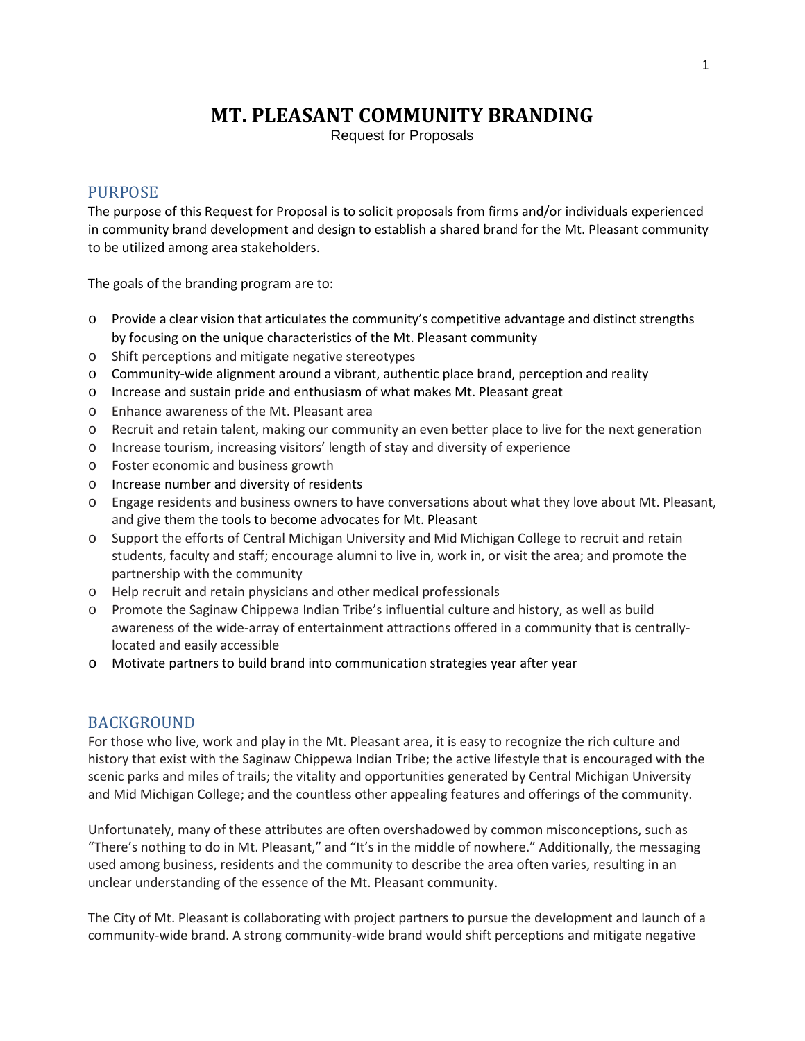# **MT. PLEASANT COMMUNITY BRANDING**

Request for Proposals

## PURPOSE

The purpose of this Request for Proposal is to solicit proposals from firms and/or individuals experienced in community brand development and design to establish a shared brand for the Mt. Pleasant community to be utilized among area stakeholders.

The goals of the branding program are to:

- o Provide a clear vision that articulates the community's competitive advantage and distinct strengths by focusing on the unique characteristics of the Mt. Pleasant community
- o Shift perceptions and mitigate negative stereotypes
- o Community-wide alignment around a vibrant, authentic place brand, perception and reality
- o Increase and sustain pride and enthusiasm of what makes Mt. Pleasant great
- o Enhance awareness of the Mt. Pleasant area
- o Recruit and retain talent, making our community an even better place to live for the next generation
- o Increase tourism, increasing visitors' length of stay and diversity of experience
- o Foster economic and business growth
- o Increase number and diversity of residents
- o Engage residents and business owners to have conversations about what they love about Mt. Pleasant, and give them the tools to become advocates for Mt. Pleasant
- o Support the efforts of Central Michigan University and Mid Michigan College to recruit and retain students, faculty and staff; encourage alumni to live in, work in, or visit the area; and promote the partnership with the community
- o Help recruit and retain physicians and other medical professionals
- o Promote the Saginaw Chippewa Indian Tribe's influential culture and history, as well as build awareness of the wide-array of entertainment attractions offered in a community that is centrallylocated and easily accessible
- o Motivate partners to build brand into communication strategies year after year

## BACKGROUND

For those who live, work and play in the Mt. Pleasant area, it is easy to recognize the rich culture and history that exist with the Saginaw Chippewa Indian Tribe; the active lifestyle that is encouraged with the scenic parks and miles of trails; the vitality and opportunities generated by Central Michigan University and Mid Michigan College; and the countless other appealing features and offerings of the community.

Unfortunately, many of these attributes are often overshadowed by common misconceptions, such as "There's nothing to do in Mt. Pleasant," and "It's in the middle of nowhere." Additionally, the messaging used among business, residents and the community to describe the area often varies, resulting in an unclear understanding of the essence of the Mt. Pleasant community.

The City of Mt. Pleasant is collaborating with project partners to pursue the development and launch of a community-wide brand. A strong community-wide brand would shift perceptions and mitigate negative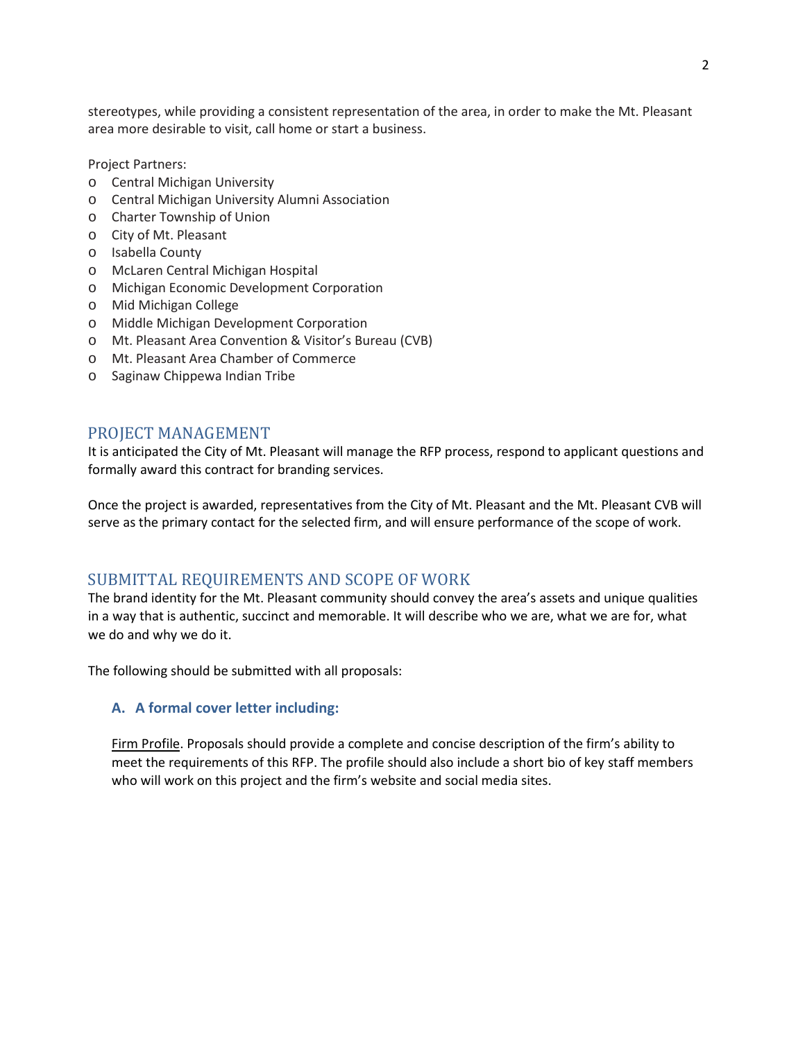stereotypes, while providing a consistent representation of the area, in order to make the Mt. Pleasant area more desirable to visit, call home or start a business.

Project Partners:

- o Central Michigan University
- o Central Michigan University Alumni Association
- o Charter Township of Union
- o City of Mt. Pleasant
- o Isabella County
- o McLaren Central Michigan Hospital
- o Michigan Economic Development Corporation
- o Mid Michigan College
- o Middle Michigan Development Corporation
- o Mt. Pleasant Area Convention & Visitor's Bureau (CVB)
- o Mt. Pleasant Area Chamber of Commerce
- o Saginaw Chippewa Indian Tribe

## PROJECT MANAGEMENT

It is anticipated the City of Mt. Pleasant will manage the RFP process, respond to applicant questions and formally award this contract for branding services.

Once the project is awarded, representatives from the City of Mt. Pleasant and the Mt. Pleasant CVB will serve as the primary contact for the selected firm, and will ensure performance of the scope of work.

## SUBMITTAL REQUIREMENTS AND SCOPE OF WORK

The brand identity for the Mt. Pleasant community should convey the area's assets and unique qualities in a way that is authentic, succinct and memorable. It will describe who we are, what we are for, what we do and why we do it.

The following should be submitted with all proposals:

#### **A. A formal cover letter including:**

Firm Profile. Proposals should provide a complete and concise description of the firm's ability to meet the requirements of this RFP. The profile should also include a short bio of key staff members who will work on this project and the firm's website and social media sites.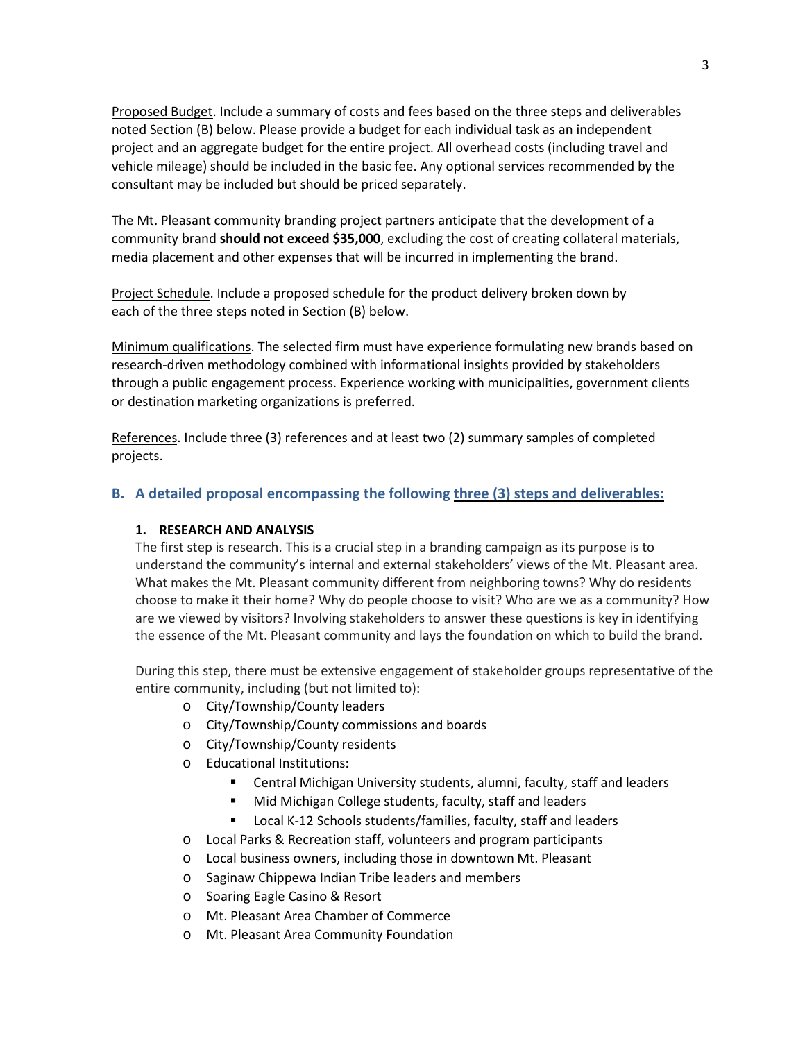Proposed Budget. Include a summary of costs and fees based on the three steps and deliverables noted Section (B) below. Please provide a budget for each individual task as an independent project and an aggregate budget for the entire project. All overhead costs (including travel and vehicle mileage) should be included in the basic fee. Any optional services recommended by the consultant may be included but should be priced separately.

The Mt. Pleasant community branding project partners anticipate that the development of a community brand **should not exceed \$35,000**, excluding the cost of creating collateral materials, media placement and other expenses that will be incurred in implementing the brand.

Project Schedule. Include a proposed schedule for the product delivery broken down by each of the three steps noted in Section (B) below.

Minimum qualifications. The selected firm must have experience formulating new brands based on research-driven methodology combined with informational insights provided by stakeholders through a public engagement process. Experience working with municipalities, government clients or destination marketing organizations is preferred.

References. Include three (3) references and at least two (2) summary samples of completed projects.

#### **B. A detailed proposal encompassing the following three (3) steps and deliverables:**

#### **1. RESEARCH AND ANALYSIS**

The first step is research. This is a crucial step in a branding campaign as its purpose is to understand the community's internal and external stakeholders' views of the Mt. Pleasant area. What makes the Mt. Pleasant community different from neighboring towns? Why do residents choose to make it their home? Why do people choose to visit? Who are we as a community? How are we viewed by visitors? Involving stakeholders to answer these questions is key in identifying the essence of the Mt. Pleasant community and lays the foundation on which to build the brand.

During this step, there must be extensive engagement of stakeholder groups representative of the entire community, including (but not limited to):

- o City/Township/County leaders
- o City/Township/County commissions and boards
- o City/Township/County residents
- o Educational Institutions:
	- Central Michigan University students, alumni, faculty, staff and leaders
	- Mid Michigan College students, faculty, staff and leaders
	- Local K-12 Schools students/families, faculty, staff and leaders
- o Local Parks & Recreation staff, volunteers and program participants
- o Local business owners, including those in downtown Mt. Pleasant
- o Saginaw Chippewa Indian Tribe leaders and members
- o Soaring Eagle Casino & Resort
- o Mt. Pleasant Area Chamber of Commerce
- o Mt. Pleasant Area Community Foundation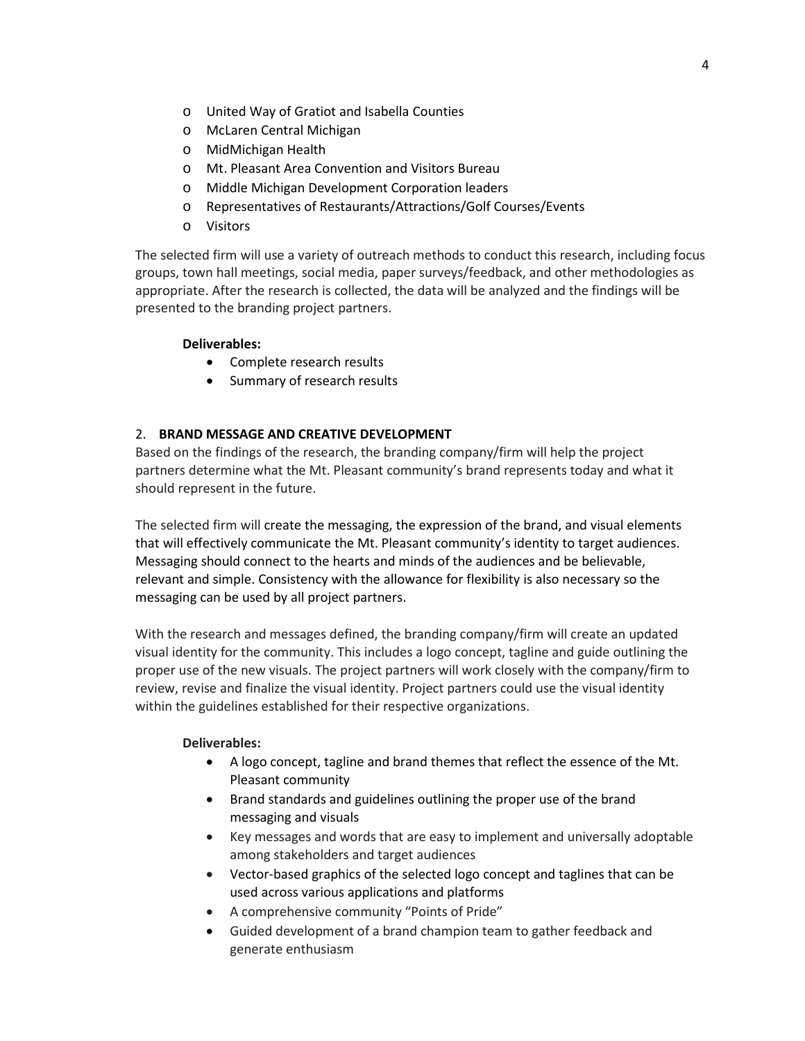- o United Way of Gratiot and Isabella Counties
- o McLaren Central Michigan
- o MidMichigan Health
- o Mt. Pleasant Area Convention and Visitors Bureau
- o Middle Michigan Development Corporation leaders
- o Representatives of Restaurants/Attractions/Golf Courses/Events
- o Visitors

The selected firm will use a variety of outreach methods to conduct this research, including focus groups, town hall meetings, social media, paper surveys/feedback, and other methodologies as appropriate. After the research is collected, the data will be analyzed and the findings will be presented to the branding project partners.

#### **Deliverables:**

- Complete research results
- Summary of research results

#### 2. **BRAND MESSAGE AND CREATIVE DEVELOPMENT**

Based on the findings of the research, the branding company/firm will help the project partners determine what the Mt. Pleasant community's brand represents today and what it should represent in the future.

The selected firm will create the messaging, the expression of the brand, and visual elements that will effectively communicate the Mt. Pleasant community's identity to target audiences. Messaging should connect to the hearts and minds of the audiences and be believable, relevant and simple. Consistency with the allowance for flexibility is also necessary so the messaging can be used by all project partners.

With the research and messages defined, the branding company/firm will create an updated visual identity for the community. This includes a logo concept, tagline and guide outlining the proper use of the new visuals. The project partners will work closely with the company/firm to review, revise and finalize the visual identity. Project partners could use the visual identity within the guidelines established for their respective organizations.

#### **Deliverables:**

- A logo concept, tagline and brand themes that reflect the essence of the Mt. Pleasant community
- Brand standards and guidelines outlining the proper use of the brand messaging and visuals
- Key messages and words that are easy to implement and universally adoptable among stakeholders and target audiences
- Vector-based graphics of the selected logo concept and taglines that can be used across various applications and platforms
- A comprehensive community "Points of Pride"
- Guided development of a brand champion team to gather feedback and generate enthusiasm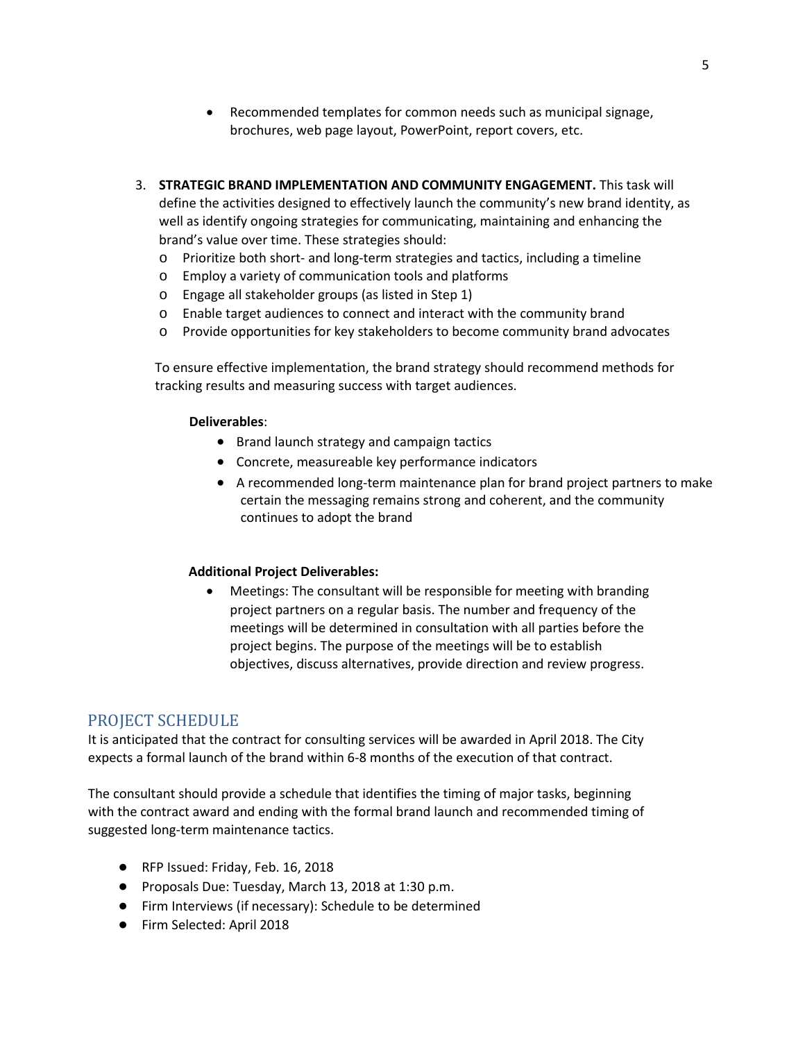- Recommended templates for common needs such as municipal signage, brochures, web page layout, PowerPoint, report covers, etc.
- 3. **STRATEGIC BRAND IMPLEMENTATION AND COMMUNITY ENGAGEMENT.** This task will define the activities designed to effectively launch the community's new brand identity, as well as identify ongoing strategies for communicating, maintaining and enhancing the brand's value over time. These strategies should:
	- o Prioritize both short- and long-term strategies and tactics, including a timeline
	- o Employ a variety of communication tools and platforms
	- o Engage all stakeholder groups (as listed in Step 1)
	- o Enable target audiences to connect and interact with the community brand
	- o Provide opportunities for key stakeholders to become community brand advocates

To ensure effective implementation, the brand strategy should recommend methods for tracking results and measuring success with target audiences.

#### **Deliverables**:

- Brand launch strategy and campaign tactics
- Concrete, measureable key performance indicators
- A recommended long-term maintenance plan for brand project partners to make certain the messaging remains strong and coherent, and the community continues to adopt the brand

#### **Additional Project Deliverables:**

• Meetings: The consultant will be responsible for meeting with branding project partners on a regular basis. The number and frequency of the meetings will be determined in consultation with all parties before the project begins. The purpose of the meetings will be to establish objectives, discuss alternatives, provide direction and review progress.

## PROJECT SCHEDULE

It is anticipated that the contract for consulting services will be awarded in April 2018. The City expects a formal launch of the brand within 6-8 months of the execution of that contract.

The consultant should provide a schedule that identifies the timing of major tasks, beginning with the contract award and ending with the formal brand launch and recommended timing of suggested long-term maintenance tactics.

- RFP Issued: Friday, Feb. 16, 2018
- Proposals Due: Tuesday, March 13, 2018 at 1:30 p.m.
- Firm Interviews (if necessary): Schedule to be determined
- Firm Selected: April 2018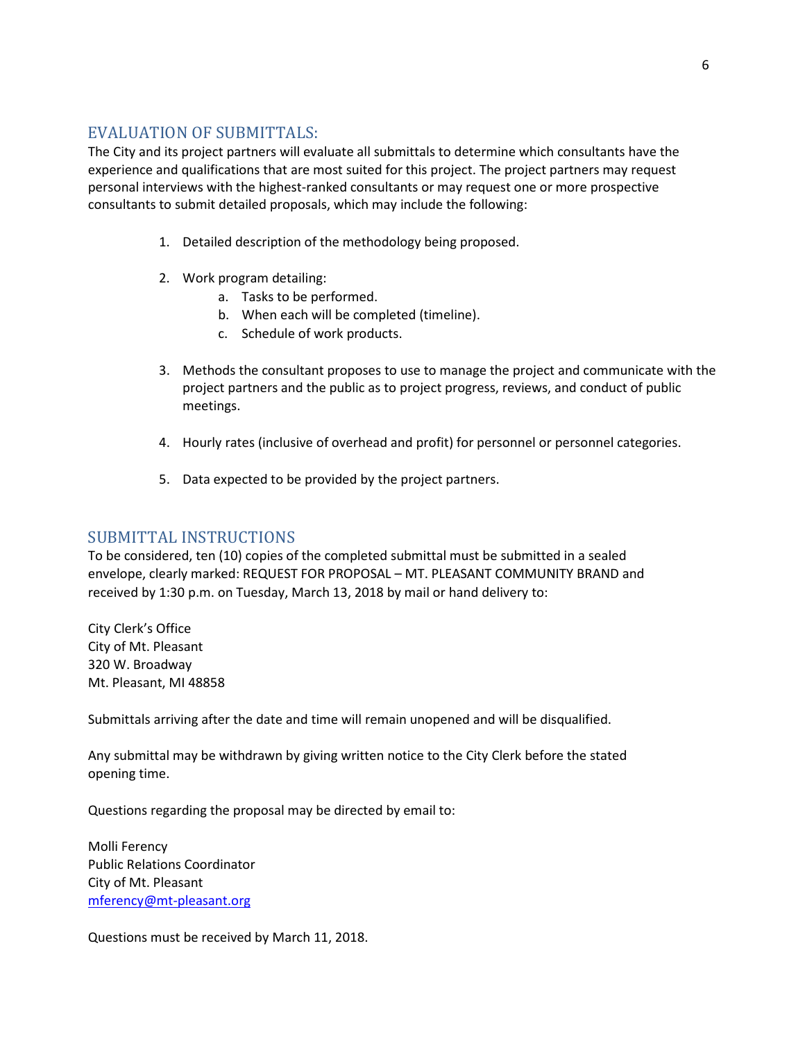# EVALUATION OF SUBMITTALS:

The City and its project partners will evaluate all submittals to determine which consultants have the experience and qualifications that are most suited for this project. The project partners may request personal interviews with the highest-ranked consultants or may request one or more prospective consultants to submit detailed proposals, which may include the following:

- 1. Detailed description of the methodology being proposed.
- 2. Work program detailing:
	- a. Tasks to be performed.
	- b. When each will be completed (timeline).
	- c. Schedule of work products.
- 3. Methods the consultant proposes to use to manage the project and communicate with the project partners and the public as to project progress, reviews, and conduct of public meetings.
- 4. Hourly rates (inclusive of overhead and profit) for personnel or personnel categories.
- 5. Data expected to be provided by the project partners.

## SUBMITTAL INSTRUCTIONS

To be considered, ten (10) copies of the completed submittal must be submitted in a sealed envelope, clearly marked: REQUEST FOR PROPOSAL – MT. PLEASANT COMMUNITY BRAND and received by 1:30 p.m. on Tuesday, March 13, 2018 by mail or hand delivery to:

City Clerk's Office City of Mt. Pleasant 320 W. Broadway Mt. Pleasant, MI 48858

Submittals arriving after the date and time will remain unopened and will be disqualified.

Any submittal may be withdrawn by giving written notice to the City Clerk before the stated opening time.

Questions regarding the proposal may be directed by email to:

Molli Ferency Public Relations Coordinator City of Mt. Pleasant [mferency@mt-pleasant.org](mailto:mferency@mt-pleasant.org)

Questions must be received by March 11, 2018.